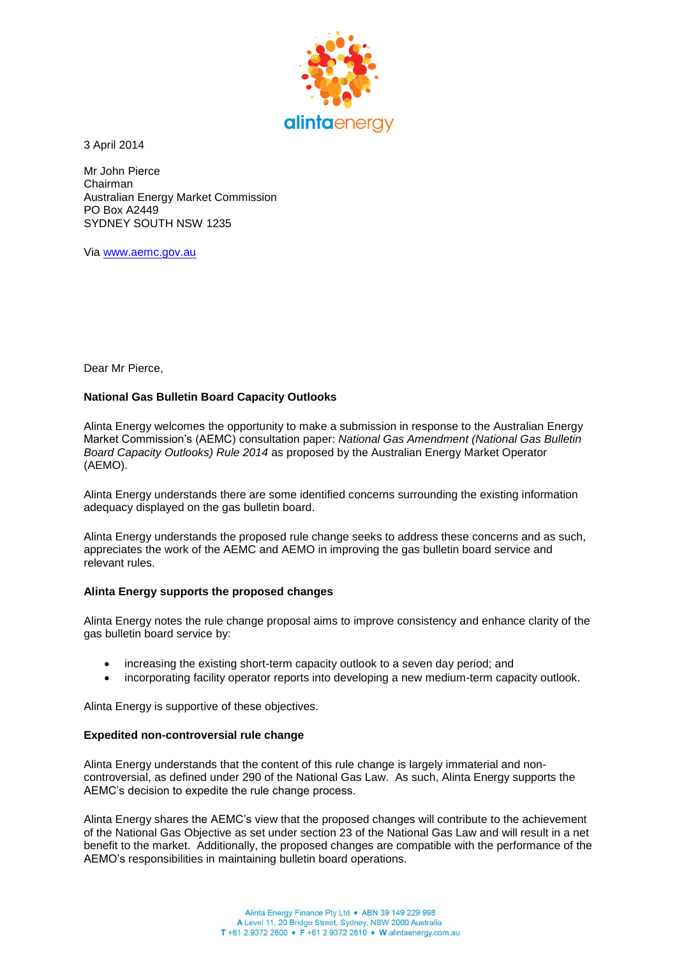

3 April 2014

Mr John Pierce Chairman Australian Energy Market Commission PO Box A2449 SYDNEY SOUTH NSW 1235

Via [www.aemc.gov.au](http://www.aemc.gov.au/)

Dear Mr Pierce,

## **National Gas Bulletin Board Capacity Outlooks**

Alinta Energy welcomes the opportunity to make a submission in response to the Australian Energy Market Commission's (AEMC) consultation paper: *National Gas Amendment (National Gas Bulletin Board Capacity Outlooks) Rule 2014* as proposed by the Australian Energy Market Operator (AEMO).

Alinta Energy understands there are some identified concerns surrounding the existing information adequacy displayed on the gas bulletin board.

Alinta Energy understands the proposed rule change seeks to address these concerns and as such, appreciates the work of the AEMC and AEMO in improving the gas bulletin board service and relevant rules.

## **Alinta Energy supports the proposed changes**

Alinta Energy notes the rule change proposal aims to improve consistency and enhance clarity of the gas bulletin board service by:

- increasing the existing short-term capacity outlook to a seven day period; and
- incorporating facility operator reports into developing a new medium-term capacity outlook.

Alinta Energy is supportive of these objectives.

## **Expedited non-controversial rule change**

Alinta Energy understands that the content of this rule change is largely immaterial and noncontroversial, as defined under 290 of the National Gas Law. As such, Alinta Energy supports the AEMC's decision to expedite the rule change process.

Alinta Energy shares the AEMC's view that the proposed changes will contribute to the achievement of the National Gas Objective as set under section 23 of the National Gas Law and will result in a net benefit to the market. Additionally, the proposed changes are compatible with the performance of the AEMO's responsibilities in maintaining bulletin board operations.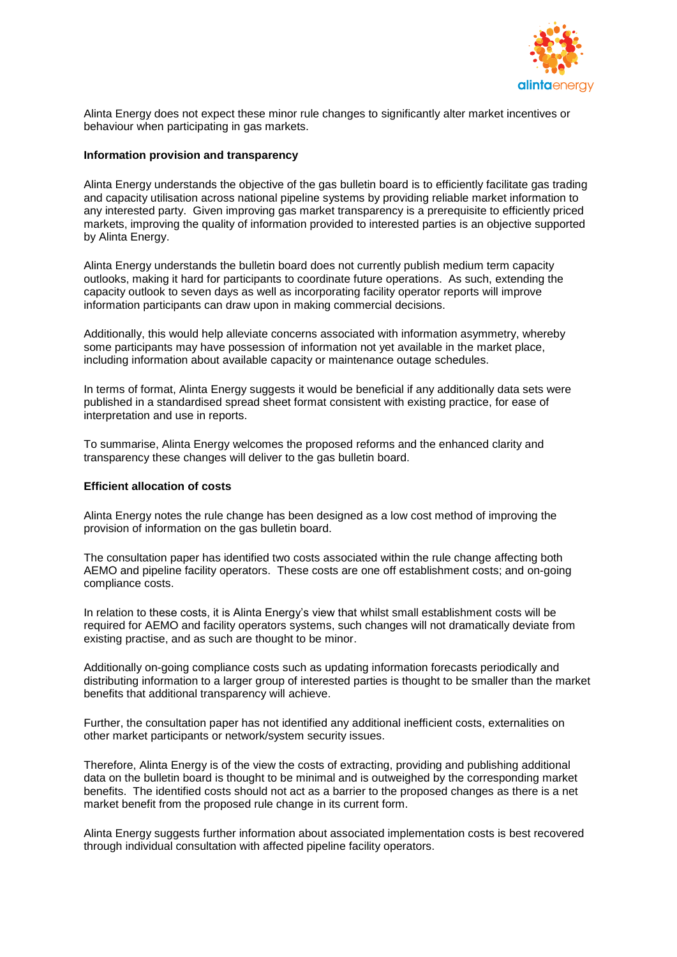

Alinta Energy does not expect these minor rule changes to significantly alter market incentives or behaviour when participating in gas markets.

## **Information provision and transparency**

Alinta Energy understands the objective of the gas bulletin board is to efficiently facilitate gas trading and capacity utilisation across national pipeline systems by providing reliable market information to any interested party. Given improving gas market transparency is a prerequisite to efficiently priced markets, improving the quality of information provided to interested parties is an objective supported by Alinta Energy.

Alinta Energy understands the bulletin board does not currently publish medium term capacity outlooks, making it hard for participants to coordinate future operations. As such, extending the capacity outlook to seven days as well as incorporating facility operator reports will improve information participants can draw upon in making commercial decisions.

Additionally, this would help alleviate concerns associated with information asymmetry, whereby some participants may have possession of information not yet available in the market place, including information about available capacity or maintenance outage schedules.

In terms of format, Alinta Energy suggests it would be beneficial if any additionally data sets were published in a standardised spread sheet format consistent with existing practice, for ease of interpretation and use in reports.

To summarise, Alinta Energy welcomes the proposed reforms and the enhanced clarity and transparency these changes will deliver to the gas bulletin board.

## **Efficient allocation of costs**

Alinta Energy notes the rule change has been designed as a low cost method of improving the provision of information on the gas bulletin board.

The consultation paper has identified two costs associated within the rule change affecting both AEMO and pipeline facility operators. These costs are one off establishment costs; and on-going compliance costs.

In relation to these costs, it is Alinta Energy's view that whilst small establishment costs will be required for AEMO and facility operators systems, such changes will not dramatically deviate from existing practise, and as such are thought to be minor.

Additionally on-going compliance costs such as updating information forecasts periodically and distributing information to a larger group of interested parties is thought to be smaller than the market benefits that additional transparency will achieve.

Further, the consultation paper has not identified any additional inefficient costs, externalities on other market participants or network/system security issues.

Therefore, Alinta Energy is of the view the costs of extracting, providing and publishing additional data on the bulletin board is thought to be minimal and is outweighed by the corresponding market benefits. The identified costs should not act as a barrier to the proposed changes as there is a net market benefit from the proposed rule change in its current form.

Alinta Energy suggests further information about associated implementation costs is best recovered through individual consultation with affected pipeline facility operators.